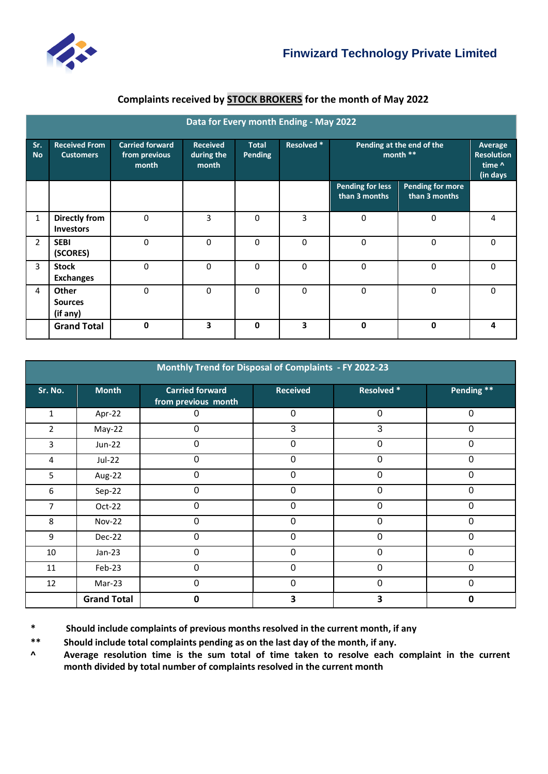

## **Complaints received by STOCK BROKERS for the month of May 2022**

| Data for Every month Ending - May 2022 |                                            |                                                  |                                        |                         |             |                                          |                                          |                                                    |
|----------------------------------------|--------------------------------------------|--------------------------------------------------|----------------------------------------|-------------------------|-------------|------------------------------------------|------------------------------------------|----------------------------------------------------|
| Sr.<br><b>No</b>                       | <b>Received From</b><br><b>Customers</b>   | <b>Carried forward</b><br>from previous<br>month | <b>Received</b><br>during the<br>month | <b>Total</b><br>Pending | Resolved *  | Pending at the end of the<br>month **    |                                          | Average<br><b>Resolution</b><br>time ^<br>(in days |
|                                        |                                            |                                                  |                                        |                         |             | <b>Pending for less</b><br>than 3 months | <b>Pending for more</b><br>than 3 months |                                                    |
| $\mathbf{1}$                           | <b>Directly from</b><br><b>Investors</b>   | $\mathbf 0$                                      | 3                                      | 0                       | 3           | $\mathbf 0$                              | 0                                        | 4                                                  |
| $\overline{2}$                         | <b>SEBI</b><br>(SCORES)                    | $\mathbf 0$                                      | $\Omega$                               | $\Omega$                | $\mathbf 0$ | $\mathbf 0$                              | 0                                        | 0                                                  |
| $\overline{3}$                         | <b>Stock</b><br><b>Exchanges</b>           | $\mathbf 0$                                      | 0                                      | 0                       | $\mathbf 0$ | $\Omega$                                 | 0                                        | 0                                                  |
| 4                                      | <b>Other</b><br><b>Sources</b><br>(if any) | $\mathbf 0$                                      | 0                                      | $\Omega$                | $\mathbf 0$ | $\Omega$                                 | 0                                        | 0                                                  |
|                                        | <b>Grand Total</b>                         | $\mathbf 0$                                      | 3                                      | 0                       | 3           | $\Omega$                                 | $\mathbf 0$                              | 4                                                  |

| Monthly Trend for Disposal of Complaints - FY 2022-23 |                    |                                               |                 |                   |             |  |  |  |
|-------------------------------------------------------|--------------------|-----------------------------------------------|-----------------|-------------------|-------------|--|--|--|
| Sr. No.                                               | <b>Month</b>       | <b>Carried forward</b><br>from previous month | <b>Received</b> | <b>Resolved *</b> | Pending **  |  |  |  |
| $\mathbf{1}$                                          | Apr-22             | 0                                             | $\overline{0}$  | $\mathbf 0$       | $\mathbf 0$ |  |  |  |
| $\overline{2}$                                        | May-22             | 0                                             | 3               | 3                 | $\mathbf 0$ |  |  |  |
| 3                                                     | <b>Jun-22</b>      | 0                                             | $\mathbf 0$     | 0                 | $\mathbf 0$ |  |  |  |
| 4                                                     | <b>Jul-22</b>      | 0                                             | 0               | $\mathbf 0$       | 0           |  |  |  |
| 5                                                     | Aug-22             | 0                                             | $\Omega$        | $\mathbf 0$       | 0           |  |  |  |
| 6                                                     | Sep-22             | 0                                             | $\mathbf 0$     | 0                 | $\mathbf 0$ |  |  |  |
| 7                                                     | Oct-22             | 0                                             | $\mathbf 0$     | $\mathbf 0$       | $\mathbf 0$ |  |  |  |
| 8                                                     | <b>Nov-22</b>      | 0                                             | $\Omega$        | $\mathbf 0$       | $\Omega$    |  |  |  |
| 9                                                     | Dec-22             | 0                                             | 0               | 0                 | 0           |  |  |  |
| 10                                                    | $Jan-23$           | 0                                             | $\mathbf 0$     | $\mathbf 0$       | $\mathbf 0$ |  |  |  |
| 11                                                    | Feb-23             | 0                                             | 0               | $\mathbf 0$       | $\Omega$    |  |  |  |
| 12                                                    | Mar-23             | 0                                             | 0               | 0                 | $\mathbf 0$ |  |  |  |
|                                                       | <b>Grand Total</b> | 0                                             | 3               | 3                 | 0           |  |  |  |

**\* Should include complaints of previous months resolved in the current month, if any**

**\*\* Should include total complaints pending as on the last day of the month, if any.** 

**^ Average resolution time is the sum total of time taken to resolve each complaint in the current month divided by total number of complaints resolved in the current month**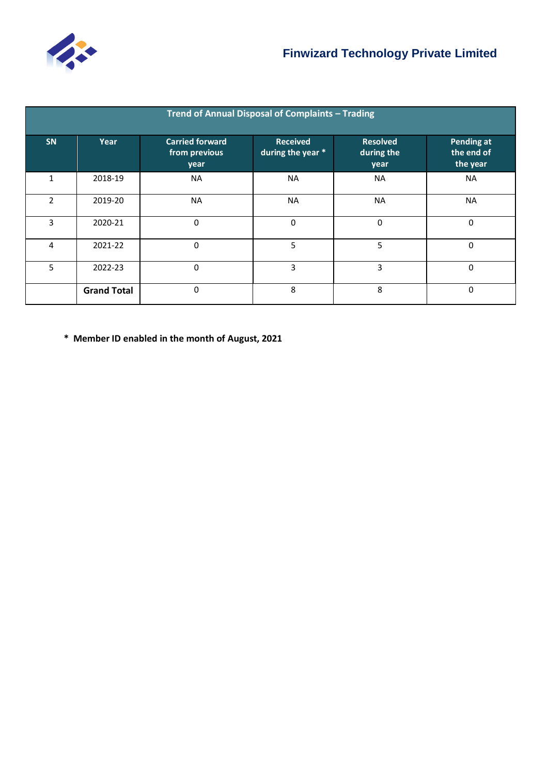

| Trend of Annual Disposal of Complaints - Trading |                    |                                                 |                                      |                                       |                                      |  |  |  |
|--------------------------------------------------|--------------------|-------------------------------------------------|--------------------------------------|---------------------------------------|--------------------------------------|--|--|--|
| <b>SN</b>                                        | Year               | <b>Carried forward</b><br>from previous<br>year | <b>Received</b><br>during the year * | <b>Resolved</b><br>during the<br>year | Pending at<br>the end of<br>the year |  |  |  |
| 1                                                | 2018-19            | <b>NA</b>                                       | <b>NA</b>                            | <b>NA</b>                             | <b>NA</b>                            |  |  |  |
| $\mathfrak{p}$                                   | 2019-20            | <b>NA</b>                                       | <b>NA</b>                            | <b>NA</b>                             | <b>NA</b>                            |  |  |  |
| 3                                                | 2020-21            | 0                                               | $\Omega$                             | 0                                     | $\Omega$                             |  |  |  |
| 4                                                | 2021-22            | 0                                               | 5                                    | 5                                     | $\mathbf 0$                          |  |  |  |
| 5                                                | 2022-23            | 0                                               | 3                                    | 3                                     | $\Omega$                             |  |  |  |
|                                                  | <b>Grand Total</b> | 0                                               | 8                                    | 8                                     | $\Omega$                             |  |  |  |

**\* Member ID enabled in the month of August, 2021**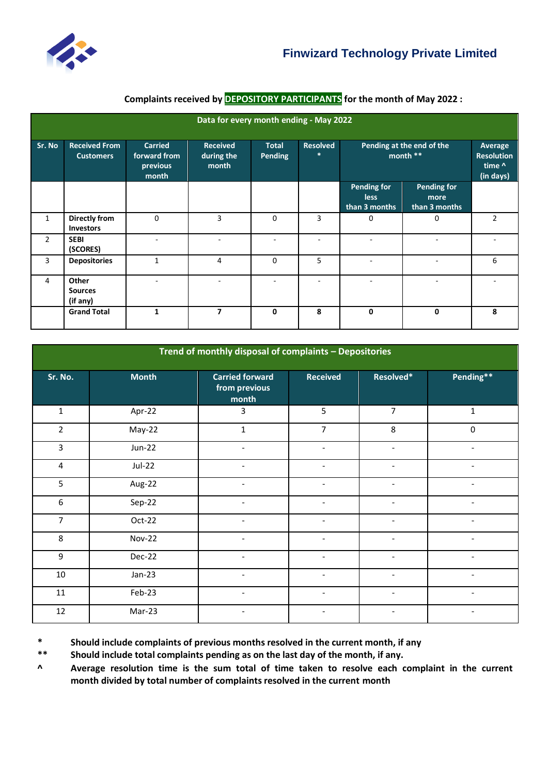

## **Complaints received by DEPOSITORY PARTICIPANTS for the month of May 2022 :**

| Data for every month ending - May 2022 |                                          |                                                     |                                        |                                |                           |                                                    |                                                     |                |
|----------------------------------------|------------------------------------------|-----------------------------------------------------|----------------------------------------|--------------------------------|---------------------------|----------------------------------------------------|-----------------------------------------------------|----------------|
| Sr. No                                 | <b>Received From</b><br><b>Customers</b> | <b>Carried</b><br>forward from<br>previous<br>month | <b>Received</b><br>during the<br>month | <b>Total</b><br><b>Pending</b> | <b>Resolved</b><br>$\ast$ | Pending at the end of the<br>month **              | Average<br><b>Resolution</b><br>time ^<br>(in days) |                |
|                                        |                                          |                                                     |                                        |                                |                           | <b>Pending for</b><br><b>less</b><br>than 3 months | <b>Pending for</b><br>more<br>than 3 months         |                |
| $\mathbf{1}$                           | Directly from<br><b>Investors</b>        | $\Omega$                                            | 3                                      | $\Omega$                       | 3                         | 0                                                  | 0                                                   | $\overline{2}$ |
| $\overline{2}$                         | <b>SEBI</b><br>(SCORES)                  |                                                     |                                        |                                |                           |                                                    |                                                     |                |
| 3                                      | <b>Depositories</b>                      | $\mathbf{1}$                                        | 4                                      | 0                              | 5                         |                                                    |                                                     | 6              |
| 4                                      | Other<br><b>Sources</b><br>(if any)      |                                                     |                                        |                                |                           |                                                    |                                                     |                |
|                                        | <b>Grand Total</b>                       | $\mathbf{1}$                                        | $\overline{ }$                         | $\mathbf{0}$                   | 8                         | 0                                                  | $\mathbf 0$                                         | 8              |

| Trend of monthly disposal of complaints - Depositories |               |                                                  |                              |                          |                          |  |  |  |
|--------------------------------------------------------|---------------|--------------------------------------------------|------------------------------|--------------------------|--------------------------|--|--|--|
| Sr. No.                                                | <b>Month</b>  | <b>Carried forward</b><br>from previous<br>month | <b>Received</b>              | Resolved*                | Pending**                |  |  |  |
| $\mathbf{1}$                                           | Apr-22        | 3                                                | 5                            | $\overline{7}$           | $\mathbf 1$              |  |  |  |
| $\overline{2}$                                         | May-22        | $\mathbf 1$                                      | $\overline{7}$               | 8                        | $\pmb{0}$                |  |  |  |
| 3                                                      | <b>Jun-22</b> | $\overline{\phantom{a}}$                         | $\overline{\phantom{a}}$     | $\blacksquare$           | $\blacksquare$           |  |  |  |
| $\overline{\mathbf{4}}$                                | $Jul-22$      | $\overline{\phantom{a}}$                         | $\overline{\phantom{a}}$     | $\blacksquare$           | $\overline{\phantom{a}}$ |  |  |  |
| 5                                                      | Aug-22        | $\overline{\phantom{a}}$                         | $\blacksquare$               | $\overline{a}$           |                          |  |  |  |
| 6                                                      | Sep-22        | ÷.                                               |                              | ÷                        |                          |  |  |  |
| $\overline{7}$                                         | Oct-22        | $\overline{\phantom{0}}$                         | $\blacksquare$               | $\overline{\phantom{a}}$ | $\overline{a}$           |  |  |  |
| 8                                                      | <b>Nov-22</b> | $\overline{\phantom{a}}$                         | $\overline{\phantom{a}}$     | $\overline{\phantom{a}}$ | $\overline{\phantom{a}}$ |  |  |  |
| 9                                                      | Dec-22        |                                                  |                              |                          |                          |  |  |  |
| 10                                                     | $Jan-23$      | $\overline{\phantom{a}}$                         | $\overline{\phantom{a}}$     |                          |                          |  |  |  |
| 11                                                     | Feb-23        | $\overline{\phantom{a}}$                         | $\qquad \qquad \blacksquare$ | -                        |                          |  |  |  |
| 12                                                     | Mar-23        | $\overline{\phantom{a}}$                         | $\overline{\phantom{a}}$     | $\overline{\phantom{a}}$ | $\overline{\phantom{a}}$ |  |  |  |

**\*** Should include complaints of previous months resolved in the current month, if any<br>**\*\*** Should include total complaints pending as on the last day of the month, if any.

Should include total complaints pending as on the last day of the month, if any.

**^ Average resolution time is the sum total of time taken to resolve each complaint in the current month divided by total number of complaints resolved in the current month**